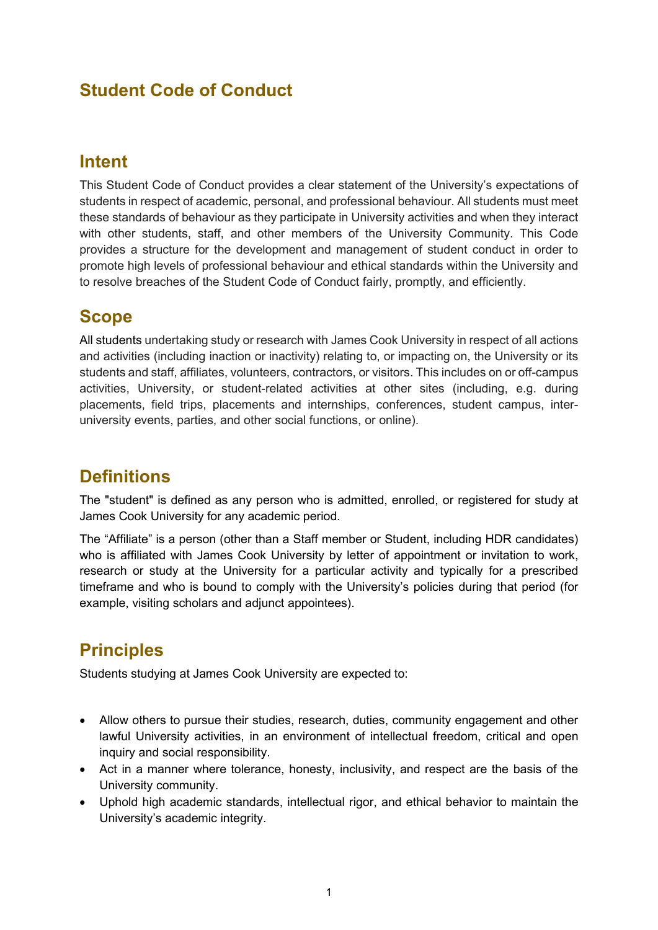# **Student Code of Conduct**

## **Intent**

This Student Code of Conduct provides a clear statement of the University's expectations of students in respect of academic, personal, and professional behaviour. All students must meet these standards of behaviour as they participate in University activities and when they interact with other students, staff, and other members of the University Community. This Code provides a structure for the development and management of student conduct in order to promote high levels of professional behaviour and ethical standards within the University and to resolve breaches of the Student Code of Conduct fairly, promptly, and efficiently.

# **Scope**

All students undertaking study or research with James Cook University in respect of all actions and activities (including inaction or inactivity) relating to, or impacting on, the University or its students and staff, affiliates, volunteers, contractors, or visitors. This includes on or off-campus activities, University, or student-related activities at other sites (including, e.g. during placements, field trips, placements and internships, conferences, student campus, interuniversity events, parties, and other social functions, or online).

# **Definitions**

The "student" is defined as any person who is admitted, enrolled, or registered for study at James Cook University for any academic period.

The "Affiliate" is a person (other than a Staff member or Student, including HDR candidates) who is affiliated with James Cook University by letter of appointment or invitation to work, research or study at the University for a particular activity and typically for a prescribed timeframe and who is bound to comply with the University's policies during that period (for example, visiting scholars and adjunct appointees).

# **Principles**

Students studying at James Cook University are expected to:

- Allow others to pursue their studies, research, duties, community engagement and other lawful University activities, in an environment of intellectual freedom, critical and open inquiry and social responsibility.
- Act in a manner where tolerance, honesty, inclusivity, and respect are the basis of the University community.
- Uphold high academic standards, intellectual rigor, and ethical behavior to maintain the University's academic integrity.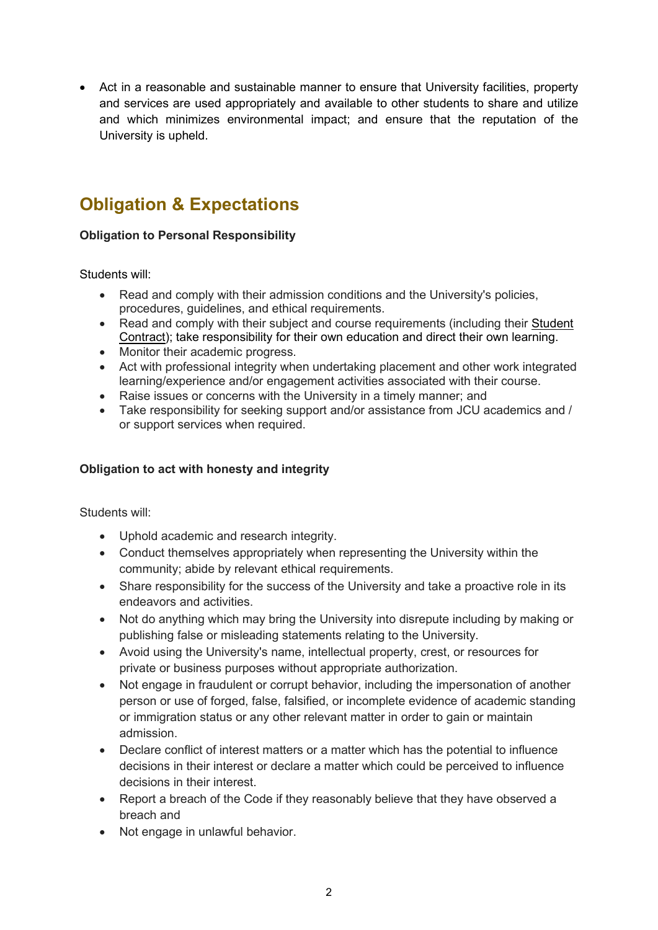• Act in a reasonable and sustainable manner to ensure that University facilities, property and services are used appropriately and available to other students to share and utilize and which minimizes environmental impact; and ensure that the reputation of the University is upheld.

# **Obligation & Expectations**

### **Obligation to Personal Responsibility**

Students will:

- Read and comply with their admission conditions and the University's policies, procedures, guidelines, and ethical requirements.
- Read and comply with their subject and course requirements (including their Student [Contract\)](https://www.jcu.edu.au/students/support/jcu-student-contract-terms-and-conditions); take responsibility for their own education and direct their own learning.
- Monitor their academic progress.
- Act with professional integrity when undertaking placement and other work integrated learning/experience and/or engagement activities associated with their course.
- Raise issues or concerns with the University in a timely manner; and
- Take responsibility for seeking support and/or assistance from JCU academics and / or support services when required.

### **Obligation to act with honesty and integrity**

Students will:

- Uphold academic and research integrity.
- Conduct themselves appropriately when representing the University within the community; abide by relevant ethical requirements.
- Share responsibility for the success of the University and take a proactive role in its endeavors and activities.
- Not do anything which may bring the University into disrepute including by making or publishing false or misleading statements relating to the University.
- Avoid using the University's name, intellectual property, crest, or resources for private or business purposes without appropriate authorization.
- Not engage in fraudulent or corrupt behavior, including the impersonation of another person or use of forged, false, falsified, or incomplete evidence of academic standing or immigration status or any other relevant matter in order to gain or maintain admission.
- Declare conflict of interest matters or a matter which has the potential to influence decisions in their interest or declare a matter which could be perceived to influence decisions in their interest.
- Report a breach of the Code if they reasonably believe that they have observed a breach and
- Not engage in unlawful behavior.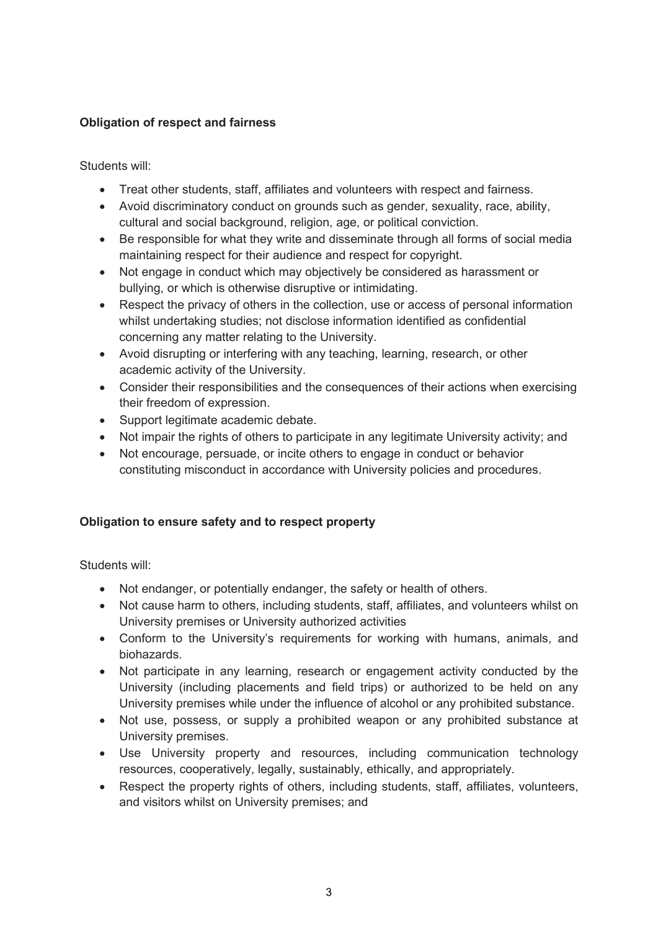### **Obligation of respect and fairness**

Students will:

- Treat other students, staff, affiliates and volunteers with respect and fairness.
- Avoid discriminatory conduct on grounds such as gender, sexuality, race, ability, cultural and social background, religion, age, or political conviction.
- Be responsible for what they write and disseminate through all forms of social media maintaining respect for their audience and respect for copyright.
- Not engage in conduct which may objectively be considered as harassment or bullying, or which is otherwise disruptive or intimidating.
- Respect the privacy of others in the collection, use or access of personal information whilst undertaking studies; not disclose information identified as confidential concerning any matter relating to the University.
- Avoid disrupting or interfering with any teaching, learning, research, or other academic activity of the University.
- Consider their responsibilities and the consequences of their actions when exercising their freedom of expression.
- Support legitimate academic debate.
- Not impair the rights of others to participate in any legitimate University activity; and
- Not encourage, persuade, or incite others to engage in conduct or behavior constituting misconduct in accordance with University policies and procedures.

### **Obligation to ensure safety and to respect property**

Students will:

- Not endanger, or potentially endanger, the safety or health of others.
- Not cause harm to others, including students, staff, affiliates, and volunteers whilst on University premises or University authorized activities
- Conform to the University's requirements for working with humans, animals, and biohazards.
- Not participate in any learning, research or engagement activity conducted by the University (including placements and field trips) or authorized to be held on any University premises while under the influence of alcohol or any prohibited substance.
- Not use, possess, or supply a prohibited weapon or any prohibited substance at University premises.
- Use University property and resources, including communication technology resources, cooperatively, legally, sustainably, ethically, and appropriately.
- Respect the property rights of others, including students, staff, affiliates, volunteers, and visitors whilst on University premises; and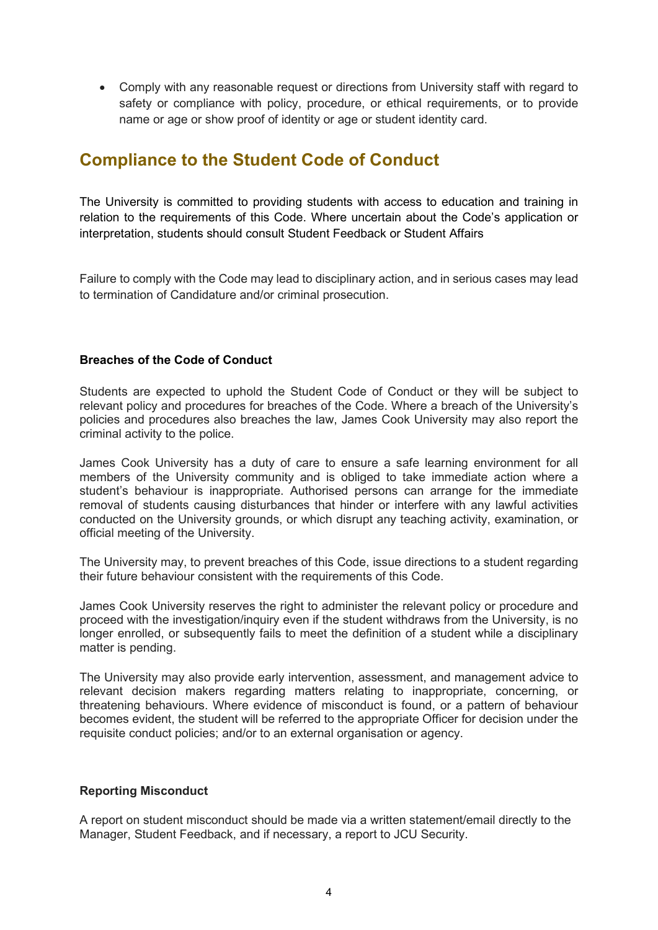• Comply with any reasonable request or directions from University staff with regard to safety or compliance with policy, procedure, or ethical requirements, or to provide name or age or show proof of identity or age or student identity card.

## **Compliance to the Student Code of Conduct**

The University is committed to providing students with access to education and training in relation to the requirements of this Code. Where uncertain about the Code's application or interpretation, students should consult Student Feedback or Student Affairs

Failure to comply with the Code may lead to disciplinary action, and in serious cases may lead to termination of Candidature and/or criminal prosecution.

#### **Breaches of the Code of Conduct**

Students are expected to uphold the Student Code of Conduct or they will be subject to relevant policy and procedures for breaches of the Code. Where a breach of the University's policies and procedures also breaches the law, James Cook University may also report the criminal activity to the police.

James Cook University has a duty of care to ensure a safe learning environment for all members of the University community and is obliged to take immediate action where a student's behaviour is inappropriate. Authorised persons can arrange for the immediate removal of students causing disturbances that hinder or interfere with any lawful activities conducted on the University grounds, or which disrupt any teaching activity, examination, or official meeting of the University.

The University may, to prevent breaches of this Code, issue directions to a student regarding their future behaviour consistent with the requirements of this Code.

James Cook University reserves the right to administer the relevant policy or procedure and proceed with the investigation/inquiry even if the student withdraws from the University, is no longer enrolled, or subsequently fails to meet the definition of a student while a disciplinary matter is pending.

The University may also provide early intervention, assessment, and management advice to relevant decision makers regarding matters relating to inappropriate, concerning, or threatening behaviours. Where evidence of misconduct is found, or a pattern of behaviour becomes evident, the student will be referred to the appropriate Officer for decision under the requisite conduct policies; and/or to an external organisation or agency.

#### **Reporting Misconduct**

A report on student misconduct should be made via a written statement/email directly to the Manager, Student Feedback, and if necessary, a report to JCU Security.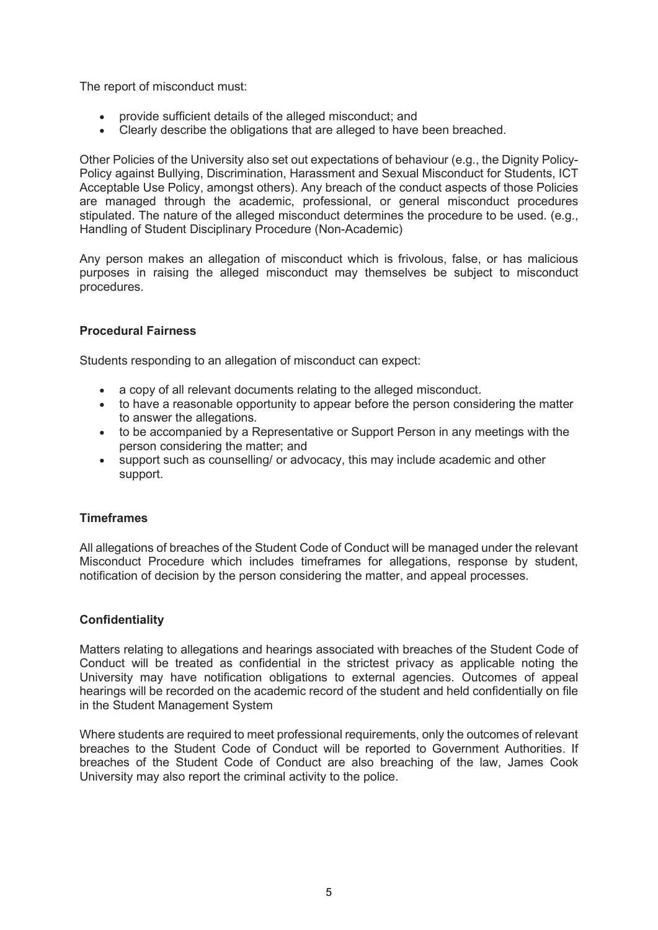The report of misconduct must:

- provide sufficient details of the alleged misconduct; and
- Clearly describe the obligations that are alleged to have been breached.

Other Policies of the University also set out expectations of behaviour (e.g., the Dignity Policy-Policy against Bullying, Discrimination, Harassment and Sexual Misconduct for Students, ICT Acceptable Use Policy, amongst others). Any breach of the conduct aspects of those Policies are managed through the academic, professional, or general misconduct procedures stipulated. The nature of the alleged misconduct determines the procedure to be used. (e.g., Handling of Student Disciplinary Procedure (Non-Academic)

Any person makes an allegation of misconduct which is frivolous, false, or has malicious purposes in raising the alleged misconduct may themselves be subject to misconduct procedures.

#### **Procedural Fairness**

Students responding to an allegation of misconduct can expect:

- a copy of all relevant documents relating to the alleged misconduct.
- to have a reasonable opportunity to appear before the person considering the matter to answer the allegations.
- to be accompanied by a Representative or Support Person in any meetings with the person considering the matter; and
- support such as counselling/ or advocacy, this may include academic and other support.

#### **Timeframes**

All allegations of breaches of the Student Code of Conduct will be managed under the relevant Misconduct Procedure which includes timeframes for allegations, response by student, notification of decision by the person considering the matter, and appeal processes.

### **Confidentiality**

Matters relating to allegations and hearings associated with breaches of the Student Code of Conduct will be treated as confidential in the strictest privacy as applicable noting the University may have notification obligations to external agencies. Outcomes of appeal hearings will be recorded on the academic record of the student and held confidentially on file in the Student Management System

Where students are required to meet professional requirements, only the outcomes of relevant breaches to the Student Code of Conduct will be reported to Government Authorities. If breaches of the Student Code of Conduct are also breaching of the law, James Cook University may also report the criminal activity to the police.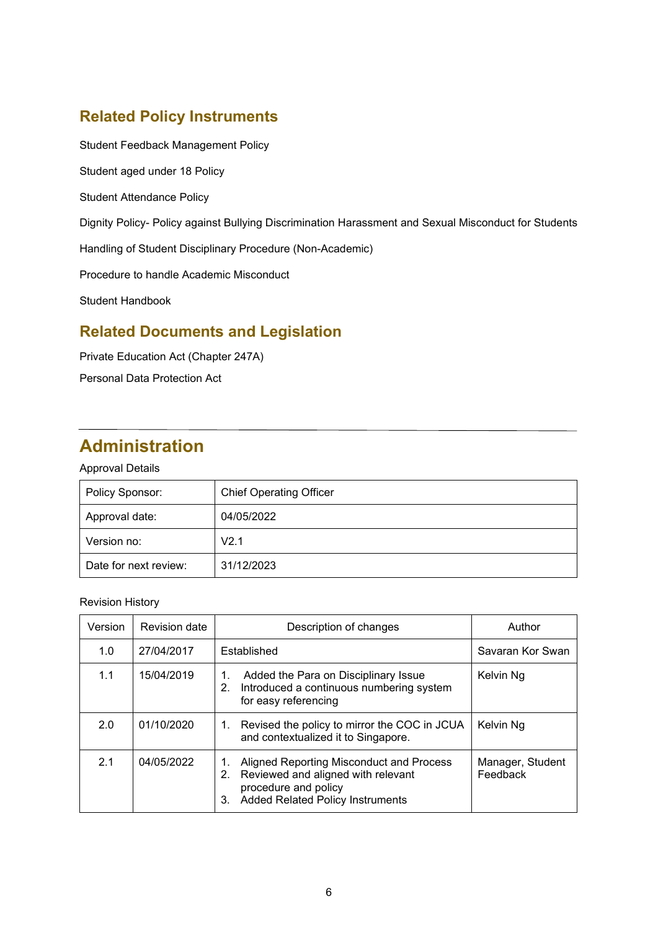## **Related Policy Instruments**

Student Feedback Management Policy

Student aged under 18 Policy

Student Attendance Policy

Dignity Policy- Policy against Bullying Discrimination Harassment and Sexual Misconduct for Students

Handling of Student Disciplinary Procedure (Non-Academic)

Procedure to handle Academic Misconduct

Student Handbook

# **Related Documents and Legislation**

Private Education Act (Chapter 247A)

Personal Data Protection Act

# **Administration**

### Approval Details

| Policy Sponsor:       | <b>Chief Operating Officer</b> |
|-----------------------|--------------------------------|
| Approval date:        | 04/05/2022                     |
| Version no:           | V2.1                           |
| Date for next review: | 31/12/2023                     |

#### Revision History

| Version | Revision date | Description of changes                                                                                                                                              | Author                       |
|---------|---------------|---------------------------------------------------------------------------------------------------------------------------------------------------------------------|------------------------------|
| 1.0     | 27/04/2017    | Established                                                                                                                                                         | Savaran Kor Swan             |
| 1.1     | 15/04/2019    | Added the Para on Disciplinary Issue<br>1.<br>Introduced a continuous numbering system<br>2.<br>for easy referencing                                                | Kelvin Ng                    |
| 2.0     | 01/10/2020    | Revised the policy to mirror the COC in JCUA<br>1.<br>and contextualized it to Singapore.                                                                           | Kelvin Ng                    |
| 2.1     | 04/05/2022    | Aligned Reporting Misconduct and Process<br>1.<br>Reviewed and aligned with relevant<br>2.<br>procedure and policy<br><b>Added Related Policy Instruments</b><br>3. | Manager, Student<br>Feedback |